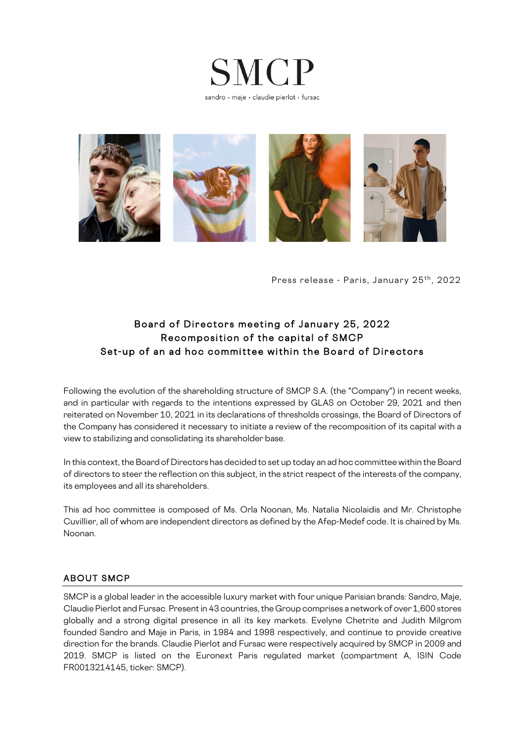



Press release - Paris, January 25<sup>th</sup>, 2022

## Board of Directors meeting of January 25, 2022 Recomposition of the capital of SMCP Set -up of an ad hoc committee within the Board of Directors

Following the evolution of the shareholding structure of SMCP S.A. (the "Company") in recent weeks, and in particular with regards to the intentions expressed by GLAS on October 29, 2021 and then reiterated on November 10, 2021 in its declarations of thresholds crossings, the Board of Directors of the Company has considered it necessary to initiate a review of the recomposition of its capital with a view to stabilizing and consolidating its shareholder base.

In this context, the Board of Directors has decided to set up today an ad hoc committee within the Board of directors to steer the reflection on this subject, in the strict respect of the interests of the company, its employees and all its shareholders.

This ad hoc committee is composed of Ms. Orla Noonan, Ms. Natalia Nicolaidis and Mr. Christophe Cuvillier, all of whom are independent directors as defined by the Afep-Medef code. It is chaired by Ms. Noonan.

#### ABOUT SMCP

SMCP is a global leader in the accessible luxury market with four unique Parisian brands: Sandro, Maje, Claudie Pierlot and Fursac. Present in 43 countries, the Group comprises a network of over 1,600 stores globally and a strong digital presence in all its key markets. Evelyne Chetrite and Judith Milgrom founded Sandro and Maje in Paris, in 1984 and 1998 respectively, and continue to provide creative direction for the brands. Claudie Pierlot and Fursac were respectively acquired by SMCP in 2009 and 2019. SMCP is listed on the Euronext Paris regulated market (compartment A, ISIN Code FR0013214145, ticker: SMCP).